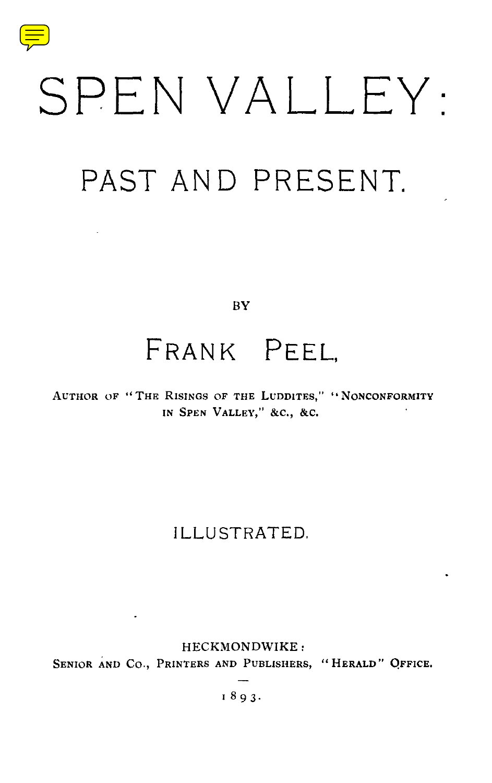

# SPEN VALLEY :

# PAST AND PRESENT.

 $B<sub>Y</sub>$ 

## FRANK PEEL,

**AUTHOR OF " THE RISINGS OF THE LUDDITES,** " **"NONCONFORMIT <sup>Y</sup> IN SPEN VALLEY, " &C., &C.**

## ILLUSTRATED,

HECKMONDWIKE : SENIOR AND CO., **PRINTERS AND PUBLISHERS,** " **HERALD " OFFICE.**

**1893 .**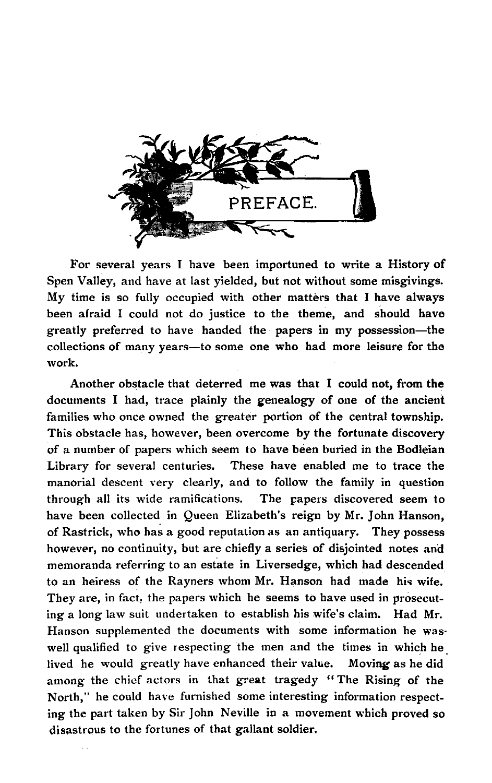

For several years I have been importuned to write a History of Spen Valley, and have at last yielded, but not without some misgivings. My time is so fully occupied with other matters that I have always been afraid I could not do justice to the theme, and should have greatly preferred to have handed the papers in my possession—the collections of many years—to some one who had more leisure for the work.

Another obstacle that deterred me was that I could not, from the documents I had, trace plainly the **genealogy** of one of the ancient families who once owned the greater portion of the central township. This obstacle has, however, been overcome by the fortunate discovery of a number of papers which seem to have been buried in the **Bodleian** Library for several centuries. These have enabled me to trace the manorial descent very clearly, and to follow the family in question through all its wide ramifications. The papers discovered seem to have been collected in Queen Elizabeth's reign by Mr. John Hanson, of Rastrick, who has a good reputation as an antiquary. They possess however, no continuity, but are chiefly a series of disjointed notes and memoranda referring to an estate in Liversedge, which had descended to an heiress of the Rayners whom Mr. Hanson had made his wife. They are, in fact, the papers which he seems to have used in prosecuting a long law suit undertaken to establish his wife's claim. Had Mr. Hanson supplemented the documents with some information he waswell qualified to give respecting the men and the times in which he lived he would greatly have enhanced their value. Moving as he did among the chief actors in that great tragedy "The Rising of the North," he could have furnished some interesting information respecting the part taken by Sir John Neville in a movement which proved so disastrous to the fortunes of that gallant soldier.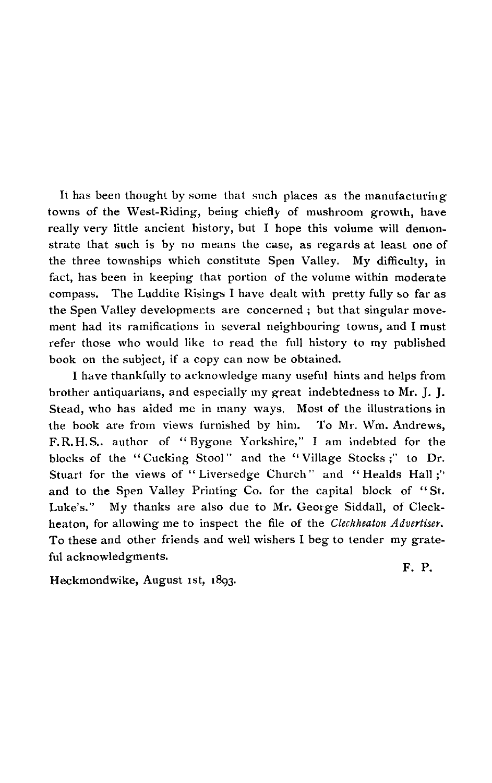It has been thought by some that such places as the manufacturing towns of the West-Riding, being chiefly of mushroom growth, have really very little ancient history, but I hope this volume will demonstrate that such is by no means the case, as regards at least one of the three townships which constitute Spen Valley. My difficulty, in fact, has been in keeping that portion of the volume within moderate compass. The Luddite Risings I have dealt with pretty fully so far as the Spen Valley developments are concerned ; but that singular movement had its ramifications in several neighbouring towns, and I must refer those who would like to read the full history to my published book on the subject, if a copy can now be obtained.

I have thankfully to acknowledge many useful hints and helps from brother antiquarians, and especially my great indebtedness to Mr. J. J. Stead, who has aided me in many ways, Most of the illustrations in the book are from views furnished by him. To Mr. Wm. Andrews, F.R.H.S., author of "Bygone Yorkshire," I am indebted for the blocks of the "Cucking Stool" and the "Village Stocks;" to Dr. Stuart for the views of "Liversedge Church" and "Healds Hall;" and to the Spen Valley Printing Co. for the capital block of "St. Luke's." My thanks are also due to Mr. George Siddall, of Cleckheaton, for allowing me to inspect the file of the *Cleckheaton Advertiser.* To these and other friends and well wishers I beg to tender my grateful acknowledgments.

Heckmondwike, August 1st, 1893.

F. P.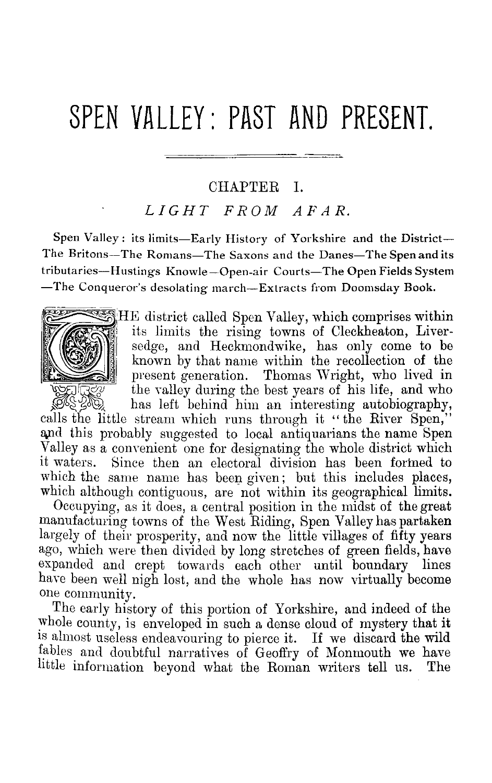## SPEN VALLEY: PAST AND PRESENT.

#### CHAPTER I.

### *LIGHT FROM AFAR.*

Spen Valley : its limits—Early History of Yorkshire and the District— The Britons—The Romans—The Saxons and the Danes—The Spen and its tributaries—Hustings Knowle — Open-air Courts—The Open Fields System —The Conqueror's desolating march—Extracts from Doomsday Book .



**HE district called Spen Valley, which comprises within** its limits the rising towns of Cleckheaton, Liversedge, and Heckmondwike, has only come to be known by that name within the recollection of the present generation. Thomas Wright, who lived in the valley during the best years of his life, and who has left behind him an interesting autobiography,

calls the little stream which runs through it "the River Spen," and this probably suggested to local antiquarians the name Spen Valley as a convenient one for designating the whole district which<br>it waters. Since then an electoral division has been formed to Since then an electoral division has been formed to which the same name has been given; but this includes places, which although contiguous, are not within its geographical limits.

Occupying, as it does, a central position in the midst of the great manufacturing towns of the West Riding, Spen Valley has partaken largely of their prosperity, and now the little villages of fifty years ago, which were then divided by long stretches of green fields, have expanded and crept towards each other until boundary lines have been well nigh lost, and the whole has now virtually become one community.

The early history of this portion of Yorkshire, and indeed of the whole county, is enveloped in such a dense cloud of mystery that it is almost useless endeavouring to pierce it. If we discard the wild fables and doubtful narratives of Geoffry of Monmouth we have  $\frac{1}{2}$  little information beyond what the Roman writers tell us. The little information beyond what the Roman writers tell us.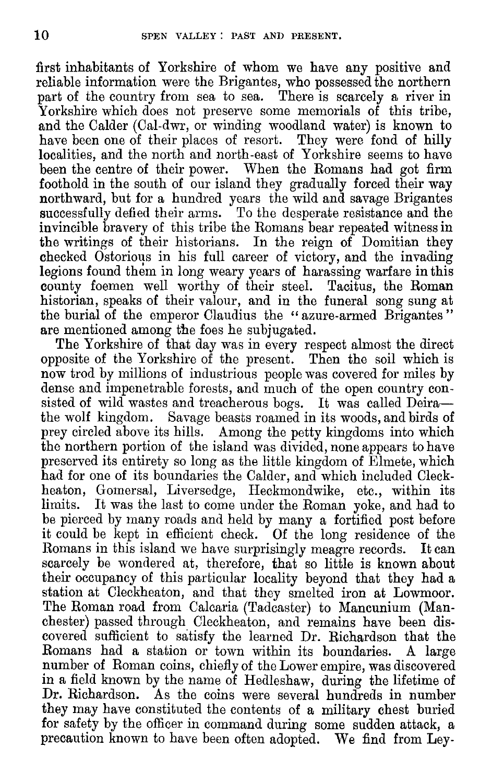first inhabitants of Yorkshire of whom we have any positive and reliable information were the Brigantes, who possessed the northern part of the country from sea to sea. There is scarcely a river in Yorkshire which does not preserve some memorials of this tribe, and the Calder (Cal-dwr, or winding woodland water) is known to have been one of their places of resort. They were fond of hilly localities, and the north and north-east of Yorkshire seems to have been the centre of their power. When the Romans had got firm foothold in the south of our island they gradually forced their way northward, but for a hundred years the wild and savage Brigantes successfully defied their arms. To the desperate resistance and the invincible bravery of this tribe the Romans bear repeated witness in the writings of their historians. In the reign of Domitian they checked Ostorious in his full career of victory, and the invading legions found them in long weary years of harassing warfare in this county foemen well worthy of their steel. Tacitus, the Roman historian, speaks of their valour, and in the funeral song sung at the burial of the emperor Claudius the "azure-armed Brigantes" are mentioned among the foes he subjugated.

The Yorkshire of that day was in every respect almost the direct opposite of the Yorkshire of the present. Then the soil which is now trod by millions of industrious people was covered for miles by dense and impenetrable forests, and much of the open country consisted of wild wastes and treacherous bogs. It was called Deira the wolf kingdom. Savage beasts roamed in its woods, and birds of prey circled above its hills. Among the petty kingdoms into which the northern portion of the island was divided, none appears to have preserved its entirety so long as the little kingdom of Elmete, which had for one of its boundaries the Calder, and which included Cleckheaton, Gomersal, Liversedge, Heckmondwike, etc., within its limits. It was the last to come under the Roman voke, and had to It was the last to come under the Roman yoke, and had to be pierced by many roads and held by many a fortified post before it could be kept in efficient check. Of the long residence of the Romans in this island we have surprisingly meagre records. It can scarcely be wondered at, therefore, that so little is known about their occupancy of this particular locality beyond that they had a station at Cleckheaton, and that they smelted iron at Lowmoor. The Roman road from Calcaria (Tadcaster) to Mancunium (Manchester) passed through Cleckheaton, and remains have been discovered sufficient to satisfy the learned Dr. Richardson that the Romans had a station or town within its boundaries. A large number of Roman coins, chiefly of the Lower empire, was discovered in a field known by the name of Hedleshaw, during the lifetime of Dr. Richardson. As the coins were several hundreds in number As the coins were several hundreds in number they may have constituted the contents of a military chest buried for safety by the officer in command during some sudden attack, a precaution known to have been often adopted. We find from Ley